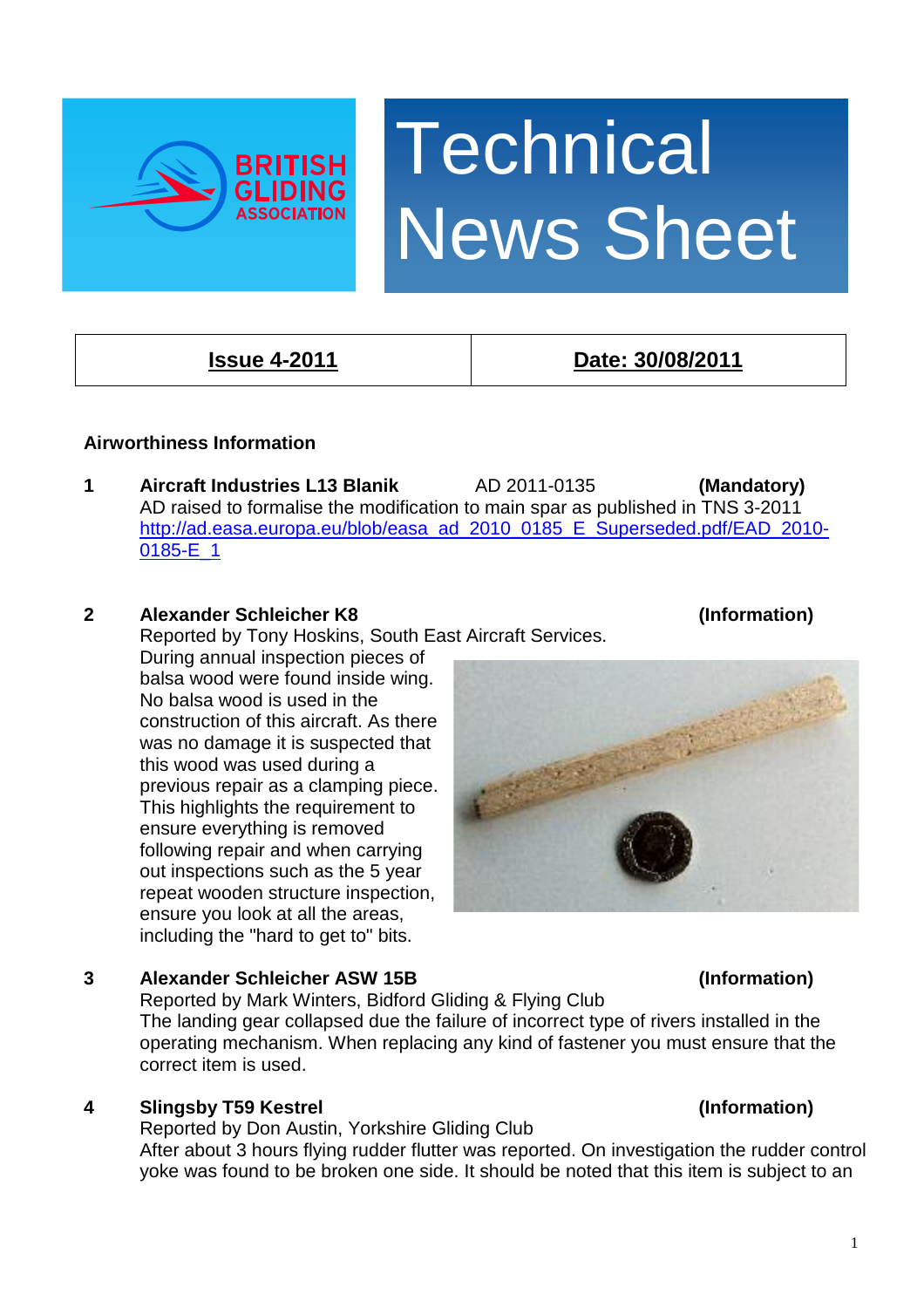



# **Airworthiness Information**

**1 Aircraft Industries L13 Blanik** AD 2011-0135 **(Mandatory)**  AD raised to formalise the modification to main spar as published in TNS 3-2011 [http://ad.easa.europa.eu/blob/easa\\_ad\\_2010\\_0185\\_E\\_Superseded.pdf/EAD\\_2010-](http://ad.easa.europa.eu/blob/easa_ad_2010_0185_E_Superseded.pdf/EAD_2010-0185-E_1) [0185-E\\_1](http://ad.easa.europa.eu/blob/easa_ad_2010_0185_E_Superseded.pdf/EAD_2010-0185-E_1)

# **2 Alexander Schleicher K8 (Information)**

Reported by Tony Hoskins, South East Aircraft Services.

 During annual inspection pieces of balsa wood were found inside wing. No balsa wood is used in the construction of this aircraft. As there was no damage it is suspected that this wood was used during a previous repair as a clamping piece. This highlights the requirement to ensure everything is removed following repair and when carrying out inspections such as the 5 year repeat wooden structure inspection, ensure you look at all the areas, including the "hard to get to" bits.

# **3 Alexander Schleicher ASW 15B (Information)**

Reported by Mark Winters, Bidford Gliding & Flying Club

 The landing gear collapsed due the failure of incorrect type of rivers installed in the operating mechanism. When replacing any kind of fastener you must ensure that the correct item is used.

# **4 Slingsby T59 Kestrel (Information)**

 Reported by Don Austin, Yorkshire Gliding Club After about 3 hours flying rudder flutter was reported. On investigation the rudder control yoke was found to be broken one side. It should be noted that this item is subject to an

**Issue 4-2011 Date: 30/08/2011**

**Technical** News Sheet

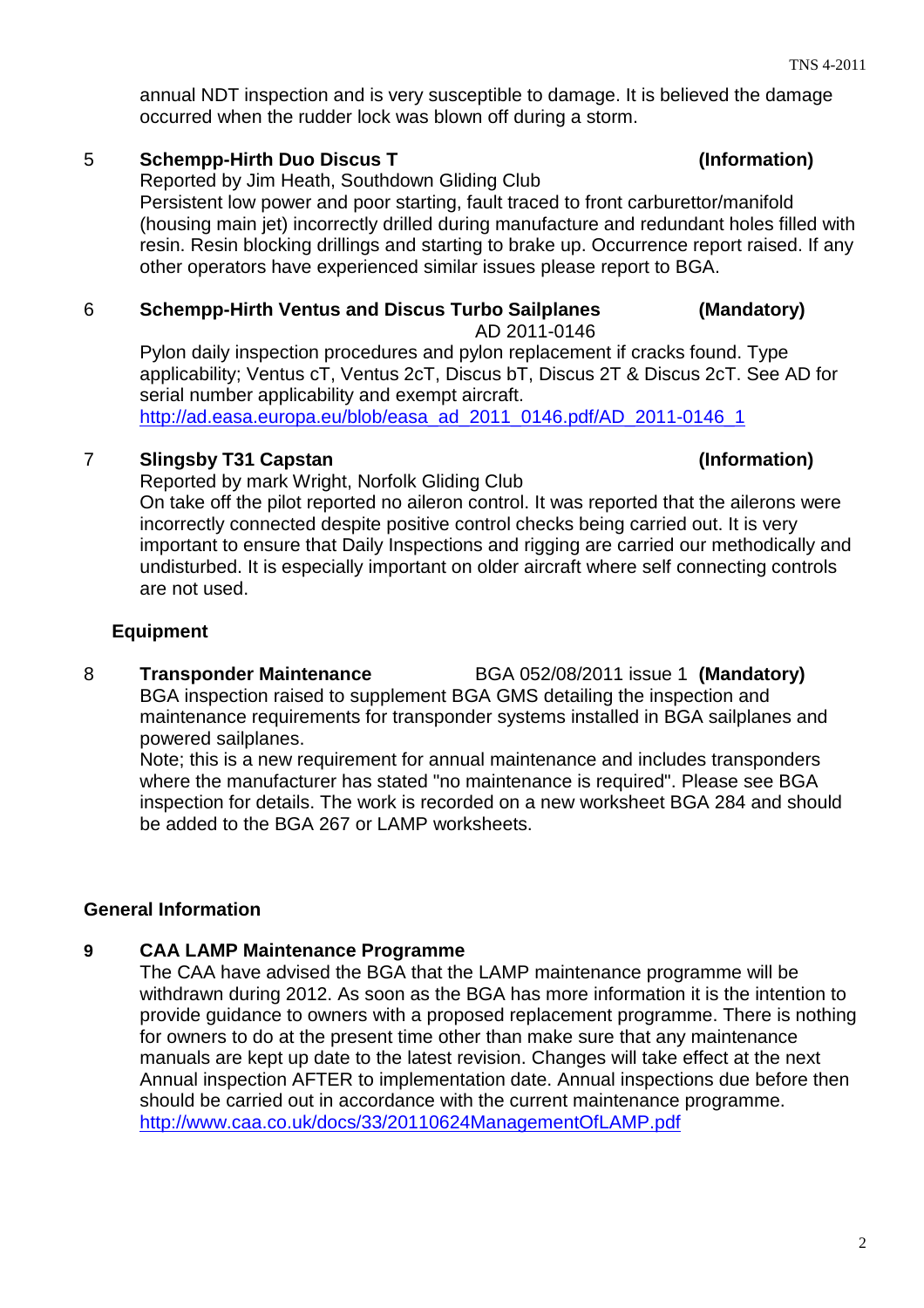annual NDT inspection and is very susceptible to damage. It is believed the damage occurred when the rudder lock was blown off during a storm.

### 5 **Schempp-Hirth Duo Discus T (Information)**

Reported by Jim Heath, Southdown Gliding Club

 Persistent low power and poor starting, fault traced to front carburettor/manifold (housing main jet) incorrectly drilled during manufacture and redundant holes filled with resin. Resin blocking drillings and starting to brake up. Occurrence report raised. If any other operators have experienced similar issues please report to BGA.

### 6 **Schempp-Hirth Ventus and Discus Turbo Sailplanes (Mandatory)**

AD 2011-0146

 Pylon daily inspection procedures and pylon replacement if cracks found. Type applicability; Ventus cT, Ventus 2cT, Discus bT, Discus 2T & Discus 2cT. See AD for serial number applicability and exempt aircraft. [http://ad.easa.europa.eu/blob/easa\\_ad\\_2011\\_0146.pdf/AD\\_2011-0146\\_1](http://ad.easa.europa.eu/blob/easa_ad_2011_0146.pdf/AD_2011-0146_1)

### 7 **Slingsby T31 Capstan (Information)**

Reported by mark Wright, Norfolk Gliding Club On take off the pilot reported no aileron control. It was reported that the ailerons were incorrectly connected despite positive control checks being carried out. It is very important to ensure that Daily Inspections and rigging are carried our methodically and undisturbed. It is especially important on older aircraft where self connecting controls are not used.

### **Equipment**

8 **Transponder Maintenance** BGA 052/08/2011 issue 1 **(Mandatory)**  BGA inspection raised to supplement BGA GMS detailing the inspection and maintenance requirements for transponder systems installed in BGA sailplanes and powered sailplanes.

 Note; this is a new requirement for annual maintenance and includes transponders where the manufacturer has stated "no maintenance is required". Please see BGA inspection for details. The work is recorded on a new worksheet BGA 284 and should be added to the BGA 267 or LAMP worksheets.

### **General Information**

### **9 CAA LAMP Maintenance Programme**

 The CAA have advised the BGA that the LAMP maintenance programme will be withdrawn during 2012. As soon as the BGA has more information it is the intention to provide guidance to owners with a proposed replacement programme. There is nothing for owners to do at the present time other than make sure that any maintenance manuals are kept up date to the latest revision. Changes will take effect at the next Annual inspection AFTER to implementation date. Annual inspections due before then should be carried out in accordance with the current maintenance programme. <http://www.caa.co.uk/docs/33/20110624ManagementOfLAMP.pdf>